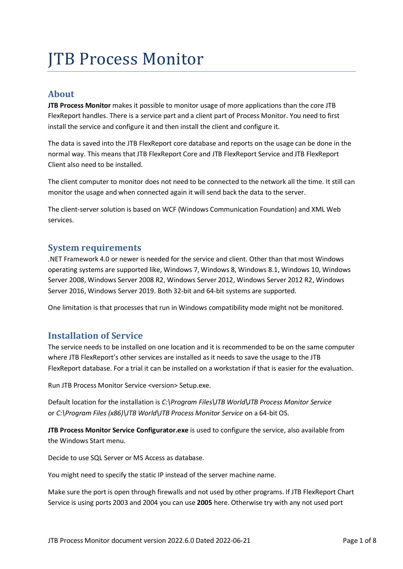# JTB Process Monitor

## **About**

**JTB Process Monitor** makes it possible to monitor usage of more applications than the core JTB FlexReport handles. There is a service part and a client part of Process Monitor. You need to first install the service and configure it and then install the client and configure it.

The data is saved into the JTB FlexReport core database and reports on the usage can be done in the normal way. This means that JTB FlexReport Core and JTB FlexReport Service and JTB FlexReport Client also need to be installed.

The client computer to monitor does not need to be connected to the network all the time. It still can monitor the usage and when connected again it will send back the data to the server.

The client-server solution is based on WCF (Windows Communication Foundation) and XML Web services.

## **System requirements**

.NET Framework 4.0 or newer is needed for the service and client. Other than that most Windows operating systems are supported like, Windows 7, Windows 8, Windows 8.1, Windows 10, Windows Server 2008, Windows Server 2008 R2, Windows Server 2012, Windows Server 2012 R2, Windows Server 2016, Windows Server 2019. Both 32-bit and 64-bit systems are supported.

One limitation is that processes that run in Windows compatibility mode might not be monitored.

## **Installation of Service**

The service needs to be installed on one location and it is recommended to be on the same computer where JTB FlexReport's other services are installed as it needs to save the usage to the JTB FlexReport database. For a trial it can be installed on a workstation if that is easier for the evaluation.

Run JTB Process Monitor Service <version> Setup.exe.

Default location for the installation is *C:\Program Files\JTB World\JTB Process Monitor Service* or *C:\Program Files (x86)\JTB World\JTB Process Monitor Service* on a 64-bit OS.

**JTB Process Monitor Service Configurator.exe** is used to configure the service, also available from the Windows Start menu.

Decide to use SQL Server or MS Access as database.

You might need to specify the static IP instead of the server machine name.

Make sure the port is open through firewalls and not used by other programs. If JTB FlexReport Chart Service is using ports 2003 and 2004 you can use **2005** here. Otherwise try with any not used port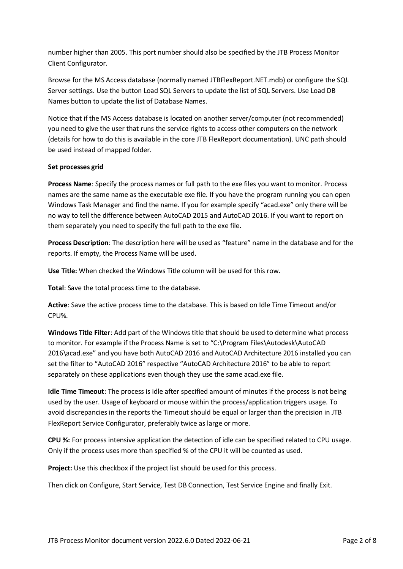number higher than 2005. This port number should also be specified by the JTB Process Monitor Client Configurator.

Browse for the MS Access database (normally named JTBFlexReport.NET.mdb) or configure the SQL Server settings. Use the button Load SQL Servers to update the list of SQL Servers. Use Load DB Names button to update the list of Database Names.

Notice that if the MS Access database is located on another server/computer (not recommended) you need to give the user that runs the service rights to access other computers on the network (details for how to do this is available in the core JTB FlexReport documentation). UNC path should be used instead of mapped folder.

#### **Set processes grid**

**Process Name**: Specify the process names or full path to the exe files you want to monitor. Process names are the same name as the executable exe file. If you have the program running you can open Windows Task Manager and find the name. If you for example specify "acad.exe" only there will be no way to tell the difference between AutoCAD 2015 and AutoCAD 2016. If you want to report on them separately you need to specify the full path to the exe file.

**Process Description**: The description here will be used as "feature" name in the database and for the reports. If empty, the Process Name will be used.

**Use Title:** When checked the Windows Title column will be used for this row.

**Total**: Save the total process time to the database.

**Active**: Save the active process time to the database. This is based on Idle Time Timeout and/or CPU%.

**Windows Title Filter**: Add part of the Windows title that should be used to determine what process to monitor. For example if the Process Name is set to "C:\Program Files\Autodesk\AutoCAD 2016\acad.exe" and you have both AutoCAD 2016 and AutoCAD Architecture 2016 installed you can set the filter to "AutoCAD 2016" respective "AutoCAD Architecture 2016" to be able to report separately on these applications even though they use the same acad.exe file.

**Idle Time Timeout**: The process is idle after specified amount of minutes if the process is not being used by the user. Usage of keyboard or mouse within the process/application triggers usage. To avoid discrepancies in the reports the Timeout should be equal or larger than the precision in JTB FlexReport Service Configurator, preferably twice as large or more.

**CPU %:** For process intensive application the detection of idle can be specified related to CPU usage. Only if the process uses more than specified % of the CPU it will be counted as used.

**Project:** Use this checkbox if the project list should be used for this process.

Then click on Configure, Start Service, Test DB Connection, Test Service Engine and finally Exit.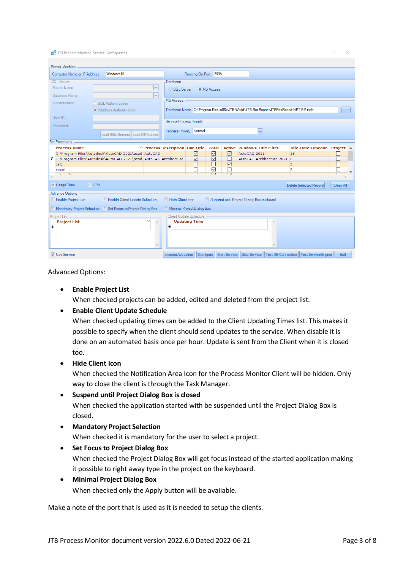| JTB Process Monitor Service Configurator |                                                                  |                 |                                                                                        |                                            |                 |                                            |   |                                          |             | × |
|------------------------------------------|------------------------------------------------------------------|-----------------|----------------------------------------------------------------------------------------|--------------------------------------------|-----------------|--------------------------------------------|---|------------------------------------------|-------------|---|
|                                          |                                                                  |                 |                                                                                        |                                            |                 |                                            |   |                                          |             |   |
| Server Machine                           |                                                                  |                 |                                                                                        |                                            |                 |                                            |   |                                          |             |   |
| Computer Name or IP Address              | Windows <sub>10</sub>                                            |                 |                                                                                        | Running On Port 2005                       |                 |                                            |   |                                          |             |   |
| SQL Server -                             |                                                                  |                 | <b>Database</b>                                                                        |                                            |                 |                                            |   |                                          |             |   |
| Server Name                              |                                                                  | $\mathbf{v}$    | ◯ SQL Server                                                                           | O MS Access                                |                 |                                            |   |                                          |             |   |
| Database Name                            |                                                                  | $\bar{\rm v}$   |                                                                                        |                                            |                 |                                            |   |                                          |             |   |
| Authentication                           | ◯ SQL Authentication                                             |                 | <b>MS Access</b>                                                                       |                                            |                 |                                            |   |                                          |             |   |
|                                          | OWindows Authentication                                          |                 | Database Name C:\Program Files (x86)\JTB World\JTB FlexReport\JTBFlexReport.NET PM.mdb |                                            |                 |                                            |   |                                          |             |   |
| User ID                                  |                                                                  |                 |                                                                                        |                                            |                 |                                            |   |                                          |             |   |
| Password                                 |                                                                  |                 | Service Process Priority                                                               |                                            |                 |                                            |   |                                          |             |   |
|                                          | Load SQL Servers Load DB Names                                   |                 | Process Priority Normal                                                                |                                            |                 | $\overline{\mathbf{r}}$                    |   |                                          |             |   |
| <b>Set Processes</b>                     |                                                                  |                 |                                                                                        |                                            |                 |                                            |   |                                          |             |   |
| <b>Process Name</b>                      |                                                                  |                 | $\wedge$ Process Description Use Title Total Active Windows Title Filter               |                                            |                 |                                            |   | Idle Time Timeout Project A              |             |   |
|                                          | C:\Program Files\Autodesk\AutoCAD 2021\acad AutoCAD              |                 |                                                                                        | ☑<br>☑                                     | ☑               | AutoCAD 2021                               |   | 15                                       | $\Box$      |   |
|                                          | C:\Program Files\Autodesk\AutoCAD 2021\acad AutoCAD Architecture |                 |                                                                                        | $\triangledown$<br>$\triangledown$         | п               | AutoCAD Architecture 2021 0                |   |                                          | П           |   |
| calc                                     |                                                                  |                 |                                                                                        | П                                          | $\triangledown$ |                                            |   | 5                                        | □           |   |
| excel                                    |                                                                  |                 |                                                                                        | П<br>$\overline{\vee}$<br>$\Box$<br>$\Box$ | П<br>$\Box$     |                                            | ÷ | 5                                        | Г<br>$\Box$ |   |
| <b>Card Corporate</b><br>$\mathbf{r}$    |                                                                  |                 |                                                                                        |                                            |                 |                                            |   |                                          |             |   |
| <b>Z</b> Usage Time                      | $\Box$ CPU                                                       |                 |                                                                                        |                                            |                 |                                            |   | <b>Delete Selected Record</b>            | Clear All   |   |
| <b>Advance Options</b>                   |                                                                  |                 |                                                                                        |                                            |                 |                                            |   |                                          |             |   |
| Enable Project List                      | Enable Client Update Schedule                                    |                 | Hide Client Icon                                                                       |                                            |                 | Suspend until Project Dialog Box is closed |   |                                          |             |   |
|                                          | Mandatory Project Selection   Set Focus to Project Dialog Box    |                 | Minimal Project Dialog Box                                                             |                                            |                 |                                            |   |                                          |             |   |
| Project List -                           |                                                                  |                 | Client Update Schedule                                                                 |                                            |                 |                                            |   |                                          |             |   |
| <b>Project List</b>                      |                                                                  | $\rho_{\rm{q}}$ | <b>Updating Time</b>                                                                   |                                            |                 |                                            | ۸ |                                          |             |   |
| ₩                                        |                                                                  |                 | $*$                                                                                    |                                            |                 |                                            |   |                                          |             |   |
|                                          |                                                                  |                 |                                                                                        |                                            |                 |                                            |   |                                          |             |   |
|                                          |                                                                  |                 |                                                                                        |                                            |                 |                                            |   |                                          |             |   |
|                                          |                                                                  |                 |                                                                                        |                                            |                 |                                            |   |                                          |             |   |
| <b>V</b> Use Service                     |                                                                  |                 | License Activation                                                                     | Configure                                  |                 | Start Service   Stop Service               |   | Test DB Connection   Test Service Engine | Exit        |   |

Advanced Options:

• **Enable Project List**

When checked projects can be added, edited and deleted from the project list.

#### • **Enable Client Update Schedule**

When checked updating times can be added to the Client Updating Times list. This makes it possible to specify when the client should send updates to the service. When disable it is done on an automated basis once per hour. Update is sent from the Client when it is closed too.

#### • **Hide Client Icon**

When checked the Notification Area Icon for the Process Monitor Client will be hidden. Only way to close the client is through the Task Manager.

• **Suspend until Project Dialog Box is closed**

When checked the application started with be suspended until the Project Dialog Box is closed.

• **Mandatory Project Selection** When checked it is mandatory for the user to select a project.

#### • **Set Focus to Project Dialog Box**

When checked the Project Dialog Box will get focus instead of the started application making it possible to right away type in the project on the keyboard.

#### • **Minimal Project Dialog Box**

When checked only the Apply button will be available.

Make a note of the port that is used as it is needed to setup the clients.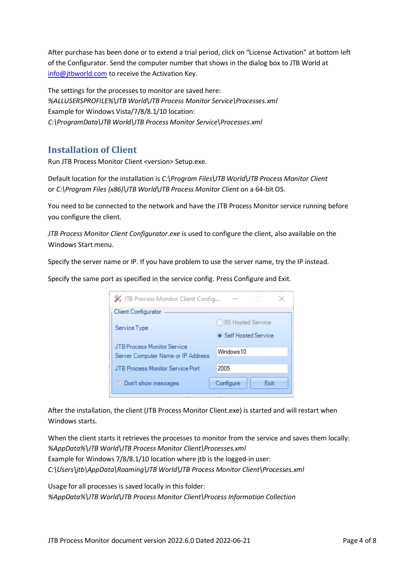After purchase has been done or to extend a trial period, click on "License Activation" at bottom left of the Configurator. Send the computer number that shows in the dialog box to JTB World at [info@jtbworld.com](mailto:info@jtbworld.com) to receive the Activation Key.

The settings for the processes to monitor are saved here: *%ALLUSERSPROFILE%\JTB World\JTB Process Monitor Service\Processes.xml* Example for Windows Vista/7/8/8.1/10 location: *C:\ProgramData\JTB World\JTB Process Monitor Service\Processes.xml*

## **Installation of Client**

Run JTB Process Monitor Client <version> Setup.exe.

Default location for the installation is *C:\Program Files\JTB World\JTB Process Monitor Client* or *C:\Program Files (x86)\JTB World\JTB Process Monitor Client* on a 64-bit OS.

You need to be connected to the network and have the JTB Process Monitor service running before you configure the client.

*JTB Process Monitor Client Configurator.exe* is used to configure the client, also available on the Windows Start menu.

Specify the server name or IP. If you have problem to use the server name, try the IP instead.

Specify the same port as specified in the service config. Press Configure and Exit.

| W JTB Process Monitor Client Config<br>×<br>$\overline{\phantom{a}}$ |                     |  |  |  |  |  |
|----------------------------------------------------------------------|---------------------|--|--|--|--|--|
| <b>Client Configurator</b>                                           |                     |  |  |  |  |  |
| Service Type                                                         | OIIS Hosted Service |  |  |  |  |  |
|                                                                      | Self Hosted Service |  |  |  |  |  |
| JTB Process Monitor Service                                          |                     |  |  |  |  |  |
| Windows <sub>10</sub><br>Server Computer Name or IP Address          |                     |  |  |  |  |  |
|                                                                      |                     |  |  |  |  |  |
| JTB Process Monitor Service Port                                     | 2005                |  |  |  |  |  |
| Don't show messages                                                  | Configure<br>Exit   |  |  |  |  |  |

After the installation, the client (JTB Process Monitor Client.exe) is started and will restart when Windows starts.

When the client starts it retrieves the processes to monitor from the service and saves them locally: *%AppData%\JTB World\JTB Process Monitor Client\Processes.xml* Example for Windows 7/8/8.1/10 location where jtb is the logged-in user: *C:\Users\jtb\AppData\Roaming\JTB World\JTB Process Monitor Client\Processes.xml*

Usage for all processes is saved locally in this folder: *%AppData%\JTB World\JTB Process Monitor Client\Process Information Collection*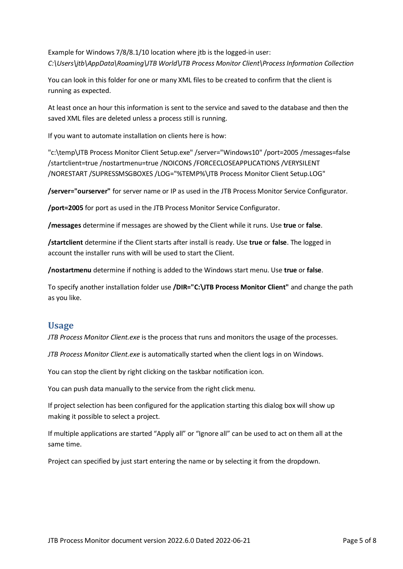Example for Windows 7/8/8.1/10 location where jtb is the logged-in user: *C:\Users\jtb\AppData\Roaming\JTB World\JTB Process Monitor Client\Process Information Collection*

You can look in this folder for one or many XML files to be created to confirm that the client is running as expected.

At least once an hour this information is sent to the service and saved to the database and then the saved XML files are deleted unless a process still is running.

If you want to automate installation on clients here is how:

"c:\temp\JTB Process Monitor Client Setup.exe" /server="Windows10" /port=2005 /messages=false /startclient=true /nostartmenu=true /NOICONS /FORCECLOSEAPPLICATIONS /VERYSILENT /NORESTART /SUPRESSMSGBOXES /LOG="%TEMP%\JTB Process Monitor Client Setup.LOG"

**/server="ourserver"** for server name or IP as used in the JTB Process Monitor Service Configurator.

**/port=2005** for port as used in the JTB Process Monitor Service Configurator.

**/messages** determine if messages are showed by the Client while it runs. Use **true** or **false**.

**/startclient** determine if the Client starts after install is ready. Use **true** or **false**. The logged in account the installer runs with will be used to start the Client.

**/nostartmenu** determine if nothing is added to the Windows start menu. Use **true** or **false**.

To specify another installation folder use **/DIR="C:\JTB Process Monitor Client"** and change the path as you like.

### **Usage**

*JTB Process Monitor Client.exe* is the process that runs and monitors the usage of the processes.

*JTB Process Monitor Client.exe* is automatically started when the client logs in on Windows.

You can stop the client by right clicking on the taskbar notification icon.

You can push data manually to the service from the right click menu.

If project selection has been configured for the application starting this dialog box will show up making it possible to select a project.

If multiple applications are started "Apply all" or "Ignore all" can be used to act on them all at the same time.

Project can specified by just start entering the name or by selecting it from the dropdown.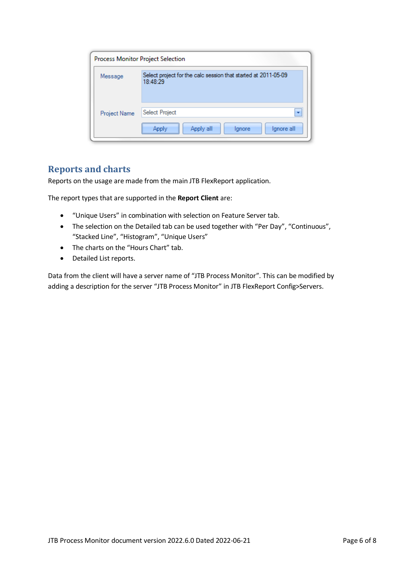|              | Process Monitor Project Selection                                          |  |  |  |  |  |
|--------------|----------------------------------------------------------------------------|--|--|--|--|--|
| Message      | Select project for the calc session that started at 2011-05-09<br>18:48:29 |  |  |  |  |  |
| Project Name | Select Project<br>٠<br>Apply all<br>Ignore all<br>Apply<br>lgnore          |  |  |  |  |  |

## **Reports and charts**

Reports on the usage are made from the main JTB FlexReport application.

The report types that are supported in the **Report Client** are:

- "Unique Users" in combination with selection on Feature Server tab.
- The selection on the Detailed tab can be used together with "Per Day", "Continuous", "Stacked Line", "Histogram", "Unique Users"
- The charts on the "Hours Chart" tab.
- Detailed List reports.

Data from the client will have a server name of "JTB Process Monitor". This can be modified by adding a description for the server "JTB Process Monitor" in JTB FlexReport Config>Servers.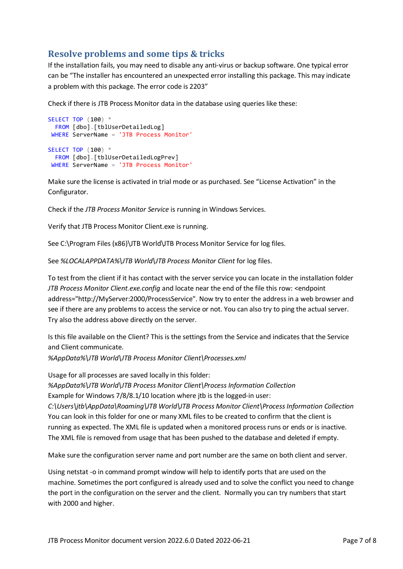# **Resolve problems and some tips & tricks**

If the installation fails, you may need to disable any anti-virus or backup software. One typical error can be "The installer has encountered an unexpected error installing this package. This may indicate a problem with this package. The error code is 2203"

Check if there is JTB Process Monitor data in the database using queries like these:

```
SELECT TOP (100) *
  FROM [dbo].[tblUserDetailedLog]
WHERE ServerName = 'JTB Process Monitor'
SELECT TOP (100) *
  FROM [dbo].[tblUserDetailedLogPrev]
WHERE ServerName = 'JTB Process Monitor'
```
Make sure the license is activated in trial mode or as purchased. See "License Activation" in the Configurator.

Check if the *JTB Process Monitor Service* is running in Windows Services.

Verify that JTB Process Monitor Client.exe is running.

See C:\Program Files (x86)\JTB World\JTB Process Monitor Service for log files.

See *%LOCALAPPDATA%\JTB World\JTB Process Monitor Client* for log files.

To test from the client if it has contact with the server service you can locate in the installation folder *JTB Process Monitor Client.exe.config* and locate near the end of the file this row: <endpoint address="http://MyServer:2000/ProcessService". Now try to enter the address in a web browser and see if there are any problems to access the service or not. You can also try to ping the actual server. Try also the address above directly on the server.

Is this file available on the Client? This is the settings from the Service and indicates that the Service and Client communicate.

*%AppData%\JTB World\JTB Process Monitor Client\Processes.xml*

Usage for all processes are saved locally in this folder: *%AppData%\JTB World\JTB Process Monitor Client\Process Information Collection* Example for Windows 7/8/8.1/10 location where jtb is the logged-in user: *C:\Users\jtb\AppData\Roaming\JTB World\JTB Process Monitor Client\Process Information Collection* You can look in this folder for one or many XML files to be created to confirm that the client is running as expected. The XML file is updated when a monitored process runs or ends or is inactive. The XML file is removed from usage that has been pushed to the database and deleted if empty.

Make sure the configuration server name and port number are the same on both client and server.

Using netstat -o in command prompt window will help to identify ports that are used on the machine. Sometimes the port configured is already used and to solve the conflict you need to change the port in the configuration on the server and the client. Normally you can try numbers that start with 2000 and higher.